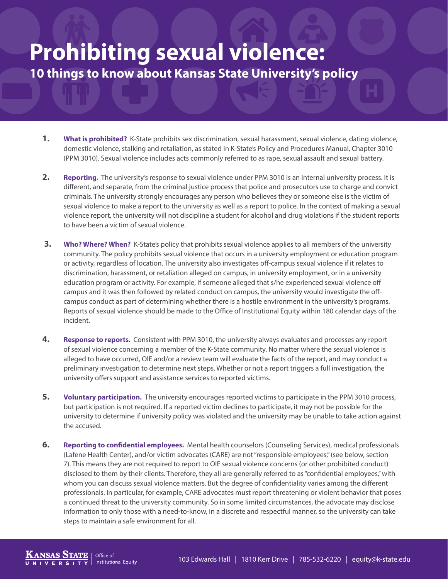## **Prohibiting sexual violence: 10 things to know about Kansas State University's policy**

- **1. What is prohibited?** K-State prohibits sex discrimination, sexual harassment, sexual violence, dating violence, domestic violence, stalking and retaliation, as stated in K-State's Policy and Procedures Manual, Chapter 3010 (PPM 3010). Sexual violence includes acts commonly referred to as rape, sexual assault and sexual battery.
- **2. Reporting.** The university's response to sexual violence under PPM 3010 is an internal university process. It is different, and separate, from the criminal justice process that police and prosecutors use to charge and convict criminals. The university strongly encourages any person who believes they or someone else is the victim of sexual violence to make a report to the university as well as a report to police. In the context of making a sexual violence report, the university will not discipline a student for alcohol and drug violations if the student reports to have been a victim of sexual violence.
- **3. Who? Where? When?** K-State's policy that prohibits sexual violence applies to all members of the university community. The policy prohibits sexual violence that occurs in a university employment or education program or activity, regardless of location. The university also investigates off-campus sexual violence if it relates to discrimination, harassment, or retaliation alleged on campus, in university employment, or in a university education program or activity. For example, if someone alleged that s/he experienced sexual violence off campus and it was then followed by related conduct on campus, the university would investigate the offcampus conduct as part of determining whether there is a hostile environment in the university's programs. Reports of sexual violence should be made to the Office of Institutional Equity within 180 calendar days of the incident.
- **4. Response to reports.** Consistent with PPM 3010, the university always evaluates and processes any report of sexual violence concerning a member of the K-State community. No matter where the sexual violence is alleged to have occurred, OIE and/or a review team will evaluate the facts of the report, and may conduct a preliminary investigation to determine next steps. Whether or not a report triggers a full investigation, the university offers support and assistance services to reported victims.
- **5. Voluntary participation.** The university encourages reported victims to participate in the PPM 3010 process, but participation is not required. If a reported victim declines to participate, it may not be possible for the university to determine if university policy was violated and the university may be unable to take action against the accused.
- **6. Reporting to confidential employees.** Mental health counselors (Counseling Services), medical professionals (Lafene Health Center), and/or victim advocates (CARE) are not "responsible employees," (see below, section 7). This means they are not required to report to OIE sexual violence concerns (or other prohibited conduct) disclosed to them by their clients. Therefore, they all are generally referred to as "confidential employees," with whom you can discuss sexual violence matters. But the degree of confidentiality varies among the different professionals. In particular, for example, CARE advocates must report threatening or violent behavior that poses a continued threat to the university community. So in some limited circumstances, the advocate may disclose information to only those with a need-to-know, in a discrete and respectful manner, so the university can take steps to maintain a safe environment for all.